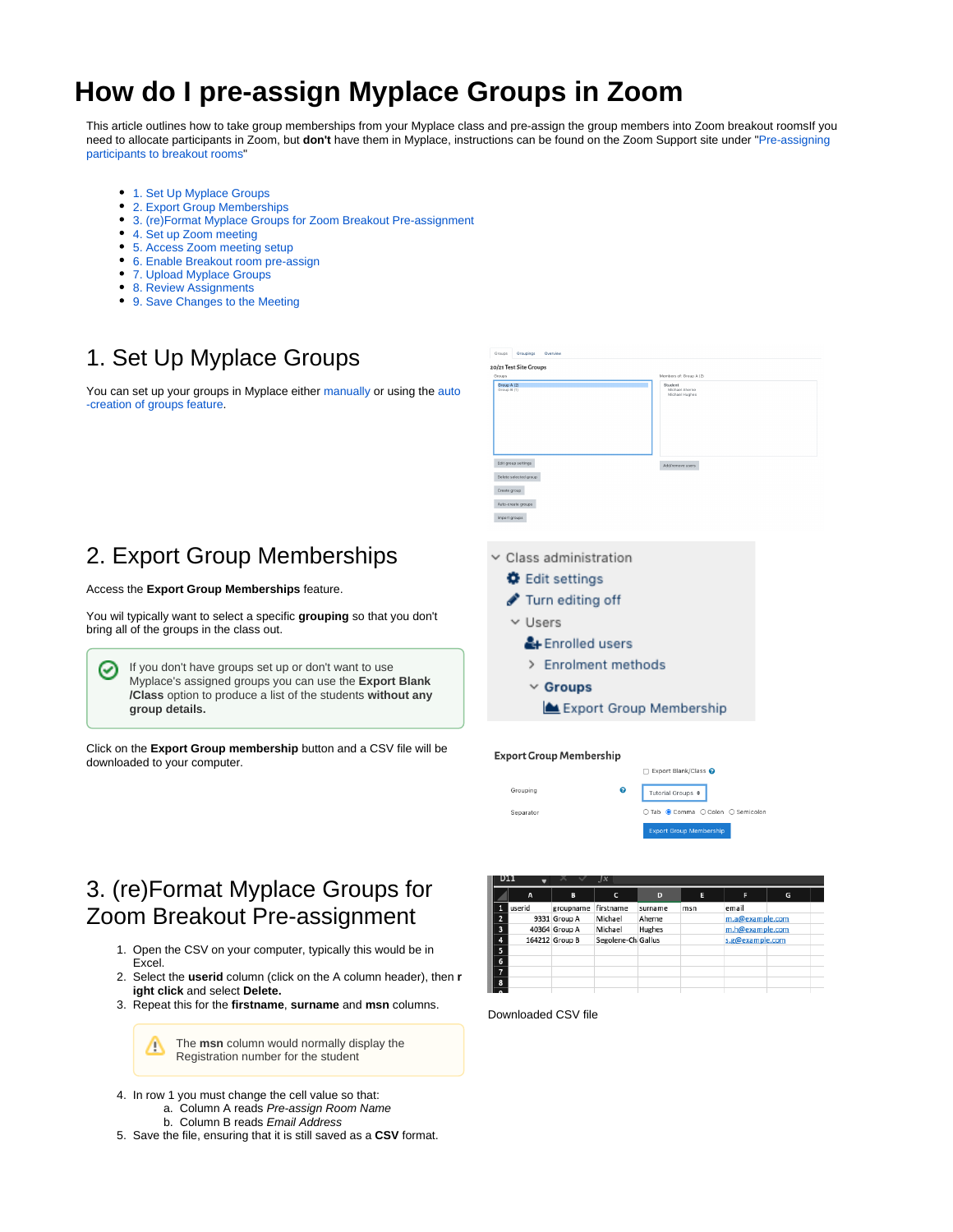# **How do I pre-assign Myplace Groups in Zoom**

This article outlines how to take group memberships from your Myplace class and pre-assign the group members into Zoom breakout roomsIf you need to allocate participants in Zoom, but **don't** have them in Myplace, instructions can be found on the Zoom Support site under "[Pre-assigning](https://support.zoom.us/hc/en-us/articles/360032752671-Pre-assigning-participants-to-breakout-rooms)  [participants to breakout rooms](https://support.zoom.us/hc/en-us/articles/360032752671-Pre-assigning-participants-to-breakout-rooms)'

- [1. Set Up Myplace Groups](#page-0-0)
- [2. Export Group Memberships](#page-0-1)
- [3. \(re\)Format Myplace Groups for Zoom Breakout Pre-assignment](#page-0-2)
- [4. Set up Zoom meeting](#page-1-0)
- [5. Access Zoom meeting setup](#page-1-1)
- [6. Enable Breakout room pre-assign](#page-1-2)
- [7. Upload Myplace Groups](#page-1-3)
- [8. Review Assignments](#page-2-0)
- [9. Save Changes to the Meeting](#page-2-1)

## <span id="page-0-0"></span>1. Set Up Myplace Groups

You can set up your groups in Myplace either [manually](https://wiki.lte.strath.ac.uk/display/MS/Manually+Creating+a+Group+and+Adding+it+to+a+Grouping) or using the [auto](https://wiki.lte.strath.ac.uk/display/MS/Auto-creating+Groups+and+a+Grouping) [-creation of groups feature](https://wiki.lte.strath.ac.uk/display/MS/Auto-creating+Groups+and+a+Grouping).

## <span id="page-0-1"></span>2. Export Group Memberships

#### Access the **Export Group Memberships** feature.

You wil typically want to select a specific **grouping** so that you don't bring all of the groups in the class out.

If you don't have groups set up or don't want to use ∽ Myplace's assigned groups you can use the **Export Blank /Class** option to produce a list of the students **without any group details.**

Click on the **Export Group membership** button and a CSV file will be downloaded to your computer.



**Export Group Membership** 



## <span id="page-0-2"></span>3. (re)Format Myplace Groups for Zoom Breakout Pre-assignment

- 1. Open the CSV on your computer, typically this would be in Excel.
- 2. Select the **userid** column (click on the A column header), then **r ight click** and select **Delete.**
- 3. Repeat this for the **firstname**, **surname** and **msn** columns.

The **msn** column would normally display the Δ Registration number for the student

- 4. In row 1 you must change the cell value so that:
	- a. Column A reads Pre-assign Room Name
	- b. Column B reads Email Address
- 5. Save the file, ensuring that it is still saved as a **CSV** format.



Downloaded CSV file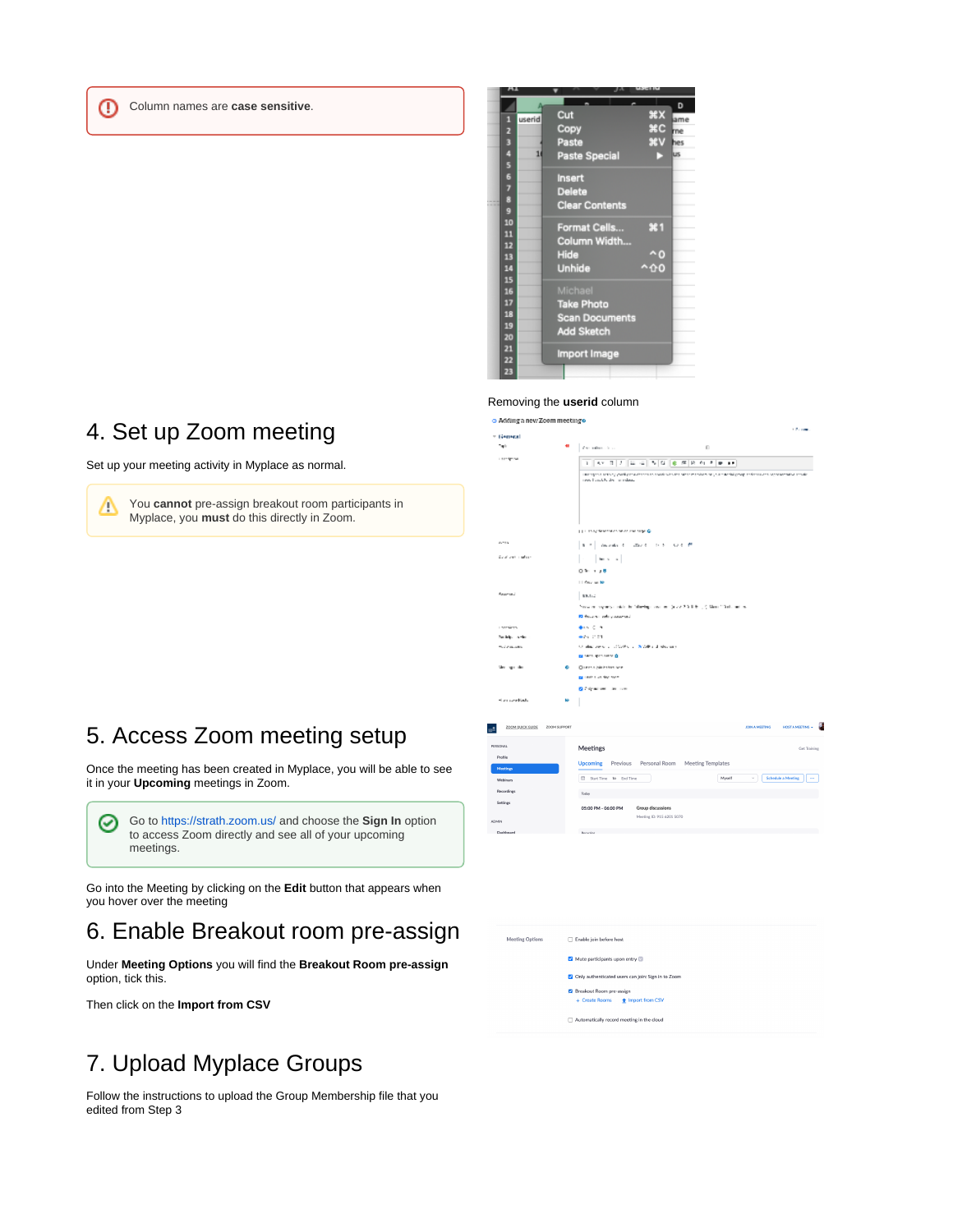Column names are **case sensitive**.

⊕



#### Removing the **userid** column o Adding a new Zoom meeting o

<span id="page-1-0"></span>4. Set up Zoom meeting

Set up your meeting activity in Myplace as normal.

You **cannot** pre-assign breakout room participants in Λ Myplace, you **must** do this directly in Zoom.

| ⊤ General                    |              |                                                                                                                                  |  |  |
|------------------------------|--------------|----------------------------------------------------------------------------------------------------------------------------------|--|--|
| Talk                         |              | Los administration<br>Đ                                                                                                          |  |  |
| Last Spring                  |              | $ I $ = = 5 0 $ 0 $ = F $ 0 $ + $ 0 $<br>п<br>A, V<br>r                                                                          |  |  |
|                              |              | interview in activity yourline readers on the state after the relationship of a method progress in the activities are advantaged |  |  |
|                              |              | research and by the main states.                                                                                                 |  |  |
|                              |              |                                                                                                                                  |  |  |
|                              |              |                                                                                                                                  |  |  |
|                              |              |                                                                                                                                  |  |  |
|                              |              | LLLLLS of the statistics an ocurrent stops @                                                                                     |  |  |
| <b>COLL</b>                  |              | American Contract Control Control                                                                                                |  |  |
| Deal and insulary            |              | because in                                                                                                                       |  |  |
|                              |              | $0.51 + 1.8$                                                                                                                     |  |  |
|                              |              | 11 Year on No                                                                                                                    |  |  |
| <b>Reserved</b>              |              | \$8.52                                                                                                                           |  |  |
|                              |              | Social company models for following move and (as a 2.2.2.3.8 m). (CMaximidad) and ex-                                            |  |  |
|                              |              | <b>R</b> Pecanic and supported                                                                                                   |  |  |
| <b>London</b>                |              | 垂れ こう                                                                                                                            |  |  |
| Suitable and a               |              | en con                                                                                                                           |  |  |
| <b>Salawan</b>               |              | Original Service - 2020 No. 2 (NORTH distances)                                                                                  |  |  |
|                              |              | <b>BE MEDI ROCKET V. D.</b>                                                                                                      |  |  |
| Merring miles<br>۰           |              | Oriens spinkshop wie<br>a unit that for your                                                                                     |  |  |
|                              |              | <b>Gifty admit the com-</b>                                                                                                      |  |  |
|                              | ь            |                                                                                                                                  |  |  |
| Harrison Bads                |              |                                                                                                                                  |  |  |
|                              |              |                                                                                                                                  |  |  |
| <b>ZOOM QUICK GUIDE</b><br>۰ | ZOOM SUPPORT | <b>JOIN A MEETING</b><br>HOSTA MEETING -                                                                                         |  |  |
| <b>FERSONAL</b>              |              | Meetings<br>Get Training                                                                                                         |  |  |
| Profile                      |              |                                                                                                                                  |  |  |
| Meetings                     |              | Personal Room Meeting Templates<br><b>Upcoming</b><br>Previous                                                                   |  |  |
| Webinars                     |              | Myself<br><b>Schedule a Meeting</b><br>Start Time to End Time<br>$\mathbf{v}$<br>$\ldots$                                        |  |  |
| Recordings                   |              | Today                                                                                                                            |  |  |
| Settings                     |              | 05:00 PM - 06:00 PM<br>Group discussions                                                                                         |  |  |
|                              |              |                                                                                                                                  |  |  |
|                              |              | Meeting ID: 915 6201 5070                                                                                                        |  |  |
| <b>ADMIN</b><br>Dashboard    |              | Becuvina                                                                                                                         |  |  |

ورزو

### <span id="page-1-1"></span>5. Access Zoom meeting setup

Once the meeting has been created in Myplace, you will be able to see it in your **Upcoming** meetings in Zoom.

Go to <https://strath.zoom.us/> and choose the **Sign In** option ⊘ to access Zoom directly and see all of your upcoming meetings.

Go into the Meeting by clicking on the **Edit** button that appears when you hover over the meeting

### <span id="page-1-2"></span>6. Enable Breakout room pre-assign

Under **Meeting Options** you will find the **Breakout Room pre-assign** option, tick this.

Then click on the **Import from CSV**

## <span id="page-1-3"></span>7. Upload Myplace Groups

Follow the instructions to upload the Group Membership file that you edited from Step 3

Meeting Ontions Friable join before host Mute participants upon entry C Only authenticated users can join: Sign in to Zoon out Room pre-assig  $a$  Bn  $\Box$  Automatically record meeting in the cloud